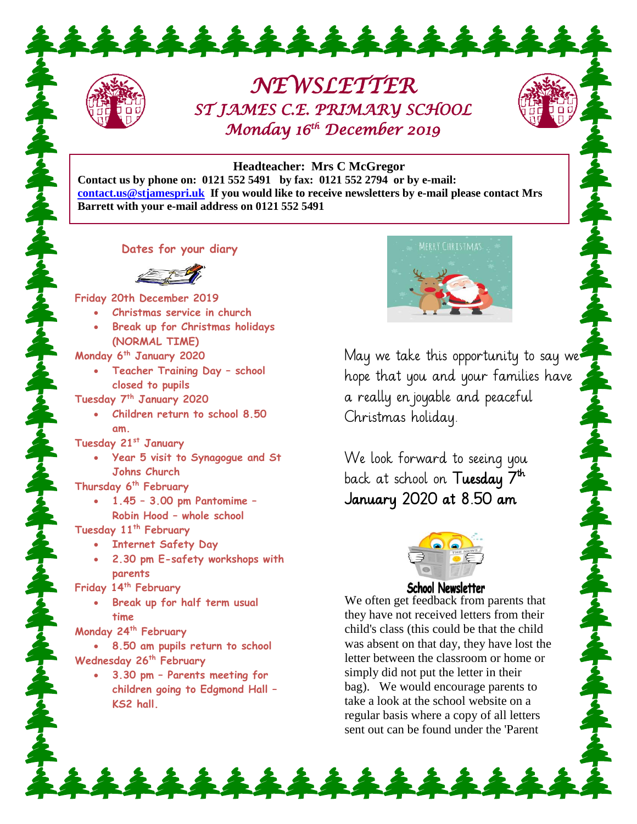## *NEWSLETTER ST JAMES C.E. PRIMARY SCHOOL Monday 16th December 2019*

## **Headteacher: Mrs C McGregor**

**Contact us by phone on: 0121 552 5491 by fax: 0121 552 2794 or by e-mail: [contact.us@stjamespri.uk](mailto:contact.us@stjamespri.uk) If you would like to receive newsletters by e-mail please contact Mrs Barrett with your e-mail address on 0121 552 5491**

\*\*\*\*\*\*\*\*\*\*\*\*

## **Dates for your diary**



**Friday 20th December 2019**

- **Christmas service in church**
- **Break up for Christmas holidays (NORMAL TIME)**

**Monday 6th January 2020**

 **Teacher Training Day – school closed to pupils**

**Tuesday 7th January 2020**

 **Children return to school 8.50 am.**

**Tuesday 21st January**

 **Year 5 visit to Synagogue and St Johns Church**

**Thursday 6th February**

 **1.45 – 3.00 pm Pantomime – Robin Hood – whole school**

**Tuesday 11th February**

- **Internet Safety Day**
- **2.30 pm E-safety workshops with parents**

**Friday 14th February**

 **Break up for half term usual time**

**Monday 24th February** 

 **8.50 am pupils return to school Wednesday 26th February** 

 **3.30 pm – Parents meeting for children going to Edgmond Hall – KS2 hall.**



May we take this opportunity to say we hope that you and your families have a really enjoyable and peaceful Christmas holiday.

We look forward to seeing you back at school on **Tuesday 7<sup>th</sup>** . January 2020 at 8.50 am



ふれんれんれんれんれんれんれんれん

## **School Newsletter**

We often get feedback from parents that they have not received letters from their child's class (this could be that the child was absent on that day, they have lost the letter between the classroom or home or simply did not put the letter in their bag). We would encourage parents to take a look at the school website on a regular basis where a copy of all letters sent out can be found under the 'Parent